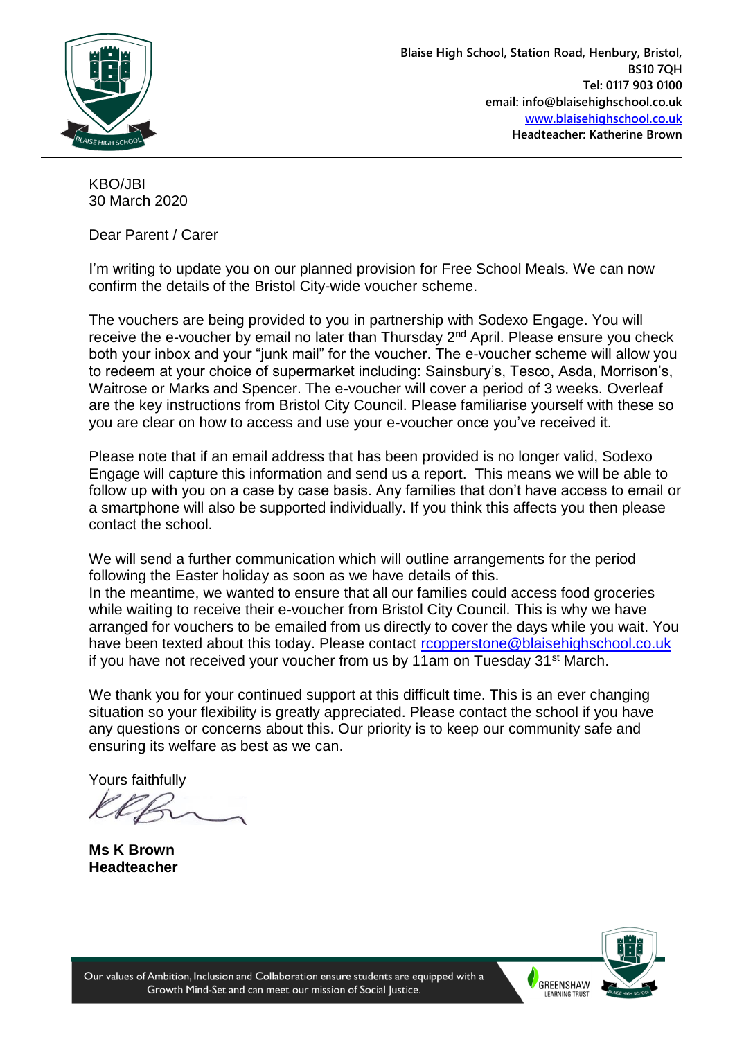

KBO/JBI 30 March 2020

Dear Parent / Carer

I'm writing to update you on our planned provision for Free School Meals. We can now confirm the details of the Bristol City-wide voucher scheme.

The vouchers are being provided to you in partnership with Sodexo Engage. You will receive the e-voucher by email no later than Thursday 2<sup>nd</sup> April. Please ensure you check both your inbox and your "junk mail" for the voucher. The e-voucher scheme will allow you to redeem at your choice of supermarket including: Sainsbury's, Tesco, Asda, Morrison's, Waitrose or Marks and Spencer. The e-voucher will cover a period of 3 weeks. Overleaf are the key instructions from Bristol City Council. Please familiarise yourself with these so you are clear on how to access and use your e-voucher once you've received it.

Please note that if an email address that has been provided is no longer valid, Sodexo Engage will capture this information and send us a report. This means we will be able to follow up with you on a case by case basis. Any families that don't have access to email or a smartphone will also be supported individually. If you think this affects you then please contact the school.

We will send a further communication which will outline arrangements for the period following the Easter holiday as soon as we have details of this. In the meantime, we wanted to ensure that all our families could access food groceries while waiting to receive their e-voucher from Bristol City Council. This is why we have arranged for vouchers to be emailed from us directly to cover the days while you wait. You have been texted about this today. Please contact [rcopperstone@blaisehighschool.co.uk](mailto:rcopperstone@blaisehighschool.co.uk) if you have not received your voucher from us by 11am on Tuesday  $31<sup>st</sup>$  March.

We thank you for your continued support at this difficult time. This is an ever changing situation so your flexibility is greatly appreciated. Please contact the school if you have any questions or concerns about this. Our priority is to keep our community safe and ensuring its welfare as best as we can.

Yours faithfully

**Ms K Brown Headteacher**